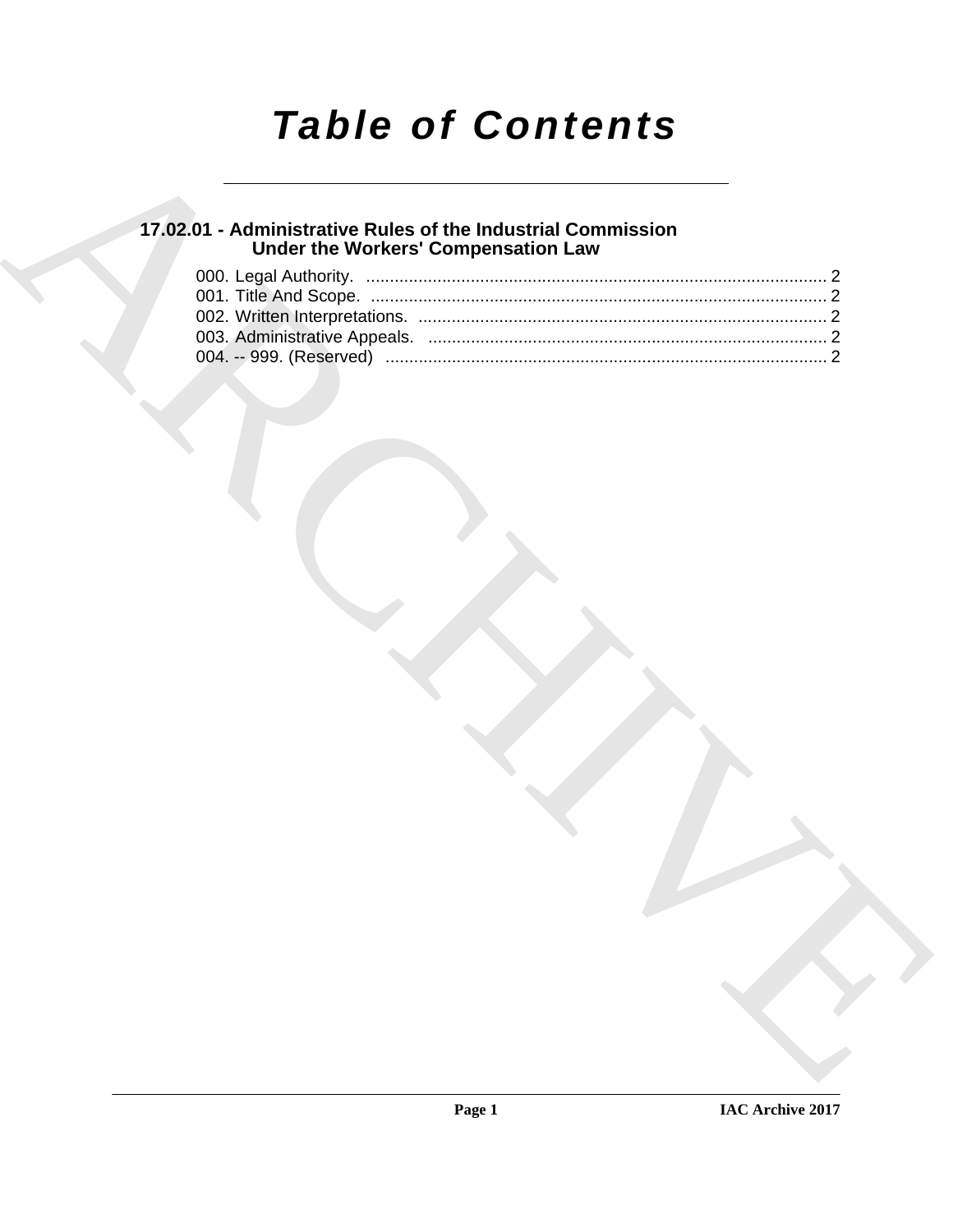# *Table of Contents*

## **17.02.01 - Administrative Rules of the Industrial Commission Under the Workers' Compensation Law**

|  | <b>Under the Workers' Compensation Law</b> |  |
|--|--------------------------------------------|--|
|  |                                            |  |
|  |                                            |  |
|  |                                            |  |
|  |                                            |  |
|  |                                            |  |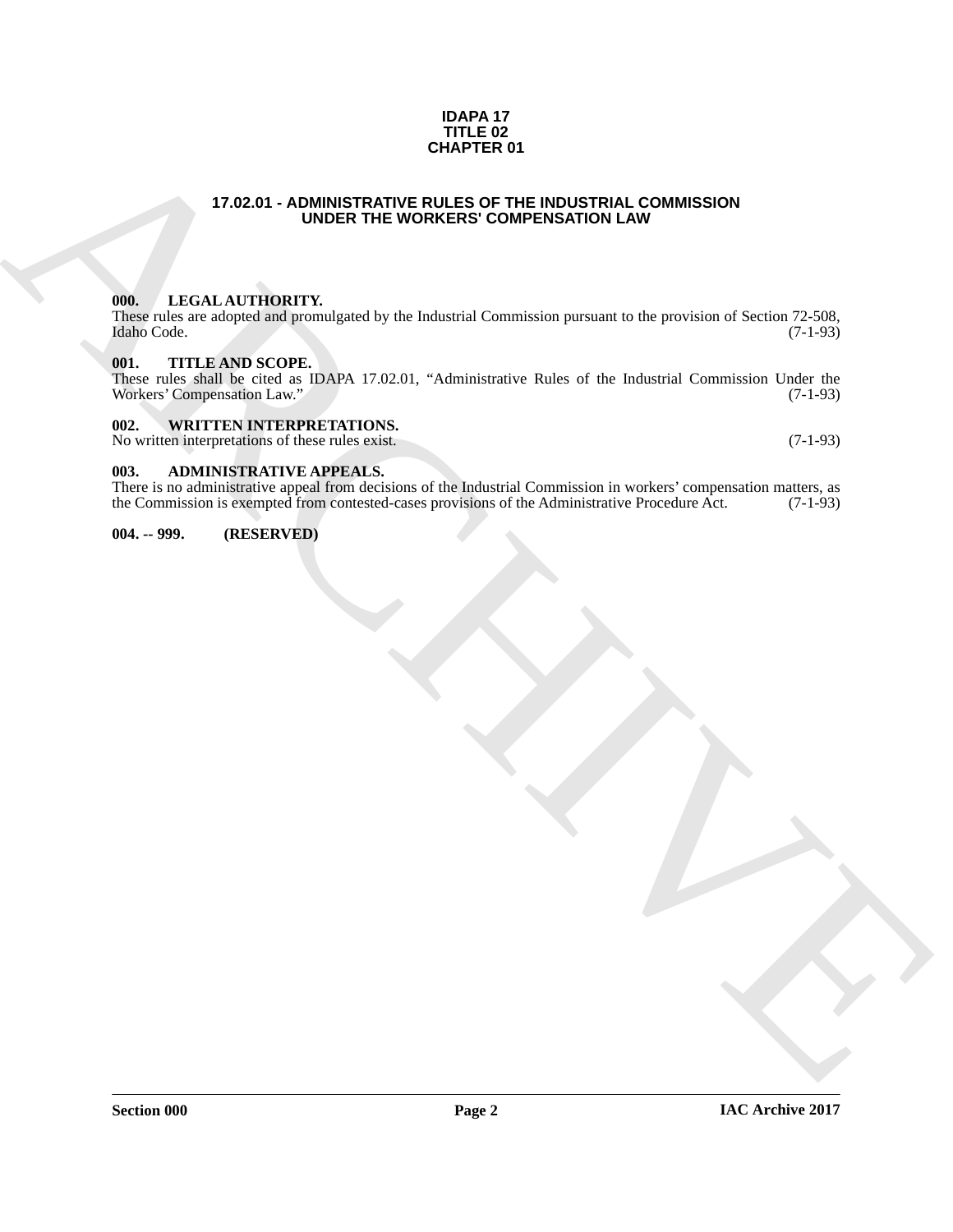#### **IDAPA 17 TITLE 02 CHAPTER 01**

## <span id="page-1-6"></span>**17.02.01 - ADMINISTRATIVE RULES OF THE INDUSTRIAL COMMISSION UNDER THE WORKERS' COMPENSATION LAW**

## <span id="page-1-1"></span><span id="page-1-0"></span>**000. LEGAL AUTHORITY.**

These rules are adopted and promulgated by the Industrial Commission pursuant to the provision of Section 72-508, Idaho Code. (7-1-93) Idaho Code. (7-1-93)

## <span id="page-1-2"></span>**001. TITLE AND SCOPE.**

**CHAPTER OF**<br>  $\frac{17.02.01 - \text{ADIMISTRATE (WES) COMEFISACFOML} \text{ COMIMISTRAFOMSION}}{\text{MULER (n). In addition, 1999, 1999, 1999, 1999, 1999, 1999, 1999, 1999, 1999, 1999, 1999, 1999, 1999, 1999, 1999, 1999, 1999, 1999, 1999, 1999, 1999, 1999, 1999, 1999, 1999$ These rules shall be cited as IDAPA 17.02.01, "Administrative Rules of the Industrial Commission Under the Workers' Compensation Law."

### <span id="page-1-3"></span>**002. WRITTEN INTERPRETATIONS.**

No written interpretations of these rules exist. (7-1-93)

#### <span id="page-1-4"></span>**003. ADMINISTRATIVE APPEALS.**

There is no administrative appeal from decisions of the Industrial Commission in workers' compensation matters, as the Commission is exempted from contested-cases provisions of the Administrative Procedure Act. (7-1-93) the Commission is exempted from contested-cases provisions of the Administrative Procedure Act.

## <span id="page-1-5"></span>**004. -- 999. (RESERVED)**